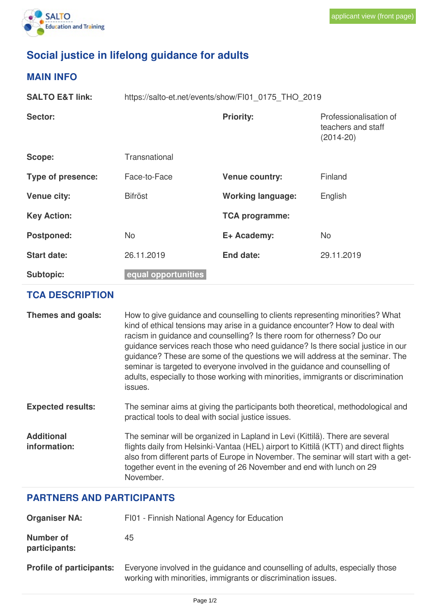

## **Social justice in lifelong guidance for adults**

## **MAIN INFO**

| <b>SALTO E&amp;T link:</b> | https://salto-et.net/events/show/FI01_0175_THO_2019 |                          |                                                             |
|----------------------------|-----------------------------------------------------|--------------------------|-------------------------------------------------------------|
| Sector:                    |                                                     | <b>Priority:</b>         | Professionalisation of<br>teachers and staff<br>$(2014-20)$ |
| Scope:                     | Transnational                                       |                          |                                                             |
| <b>Type of presence:</b>   | Face-to-Face                                        | <b>Venue country:</b>    | Finland                                                     |
| Venue city:                | <b>Bifröst</b>                                      | <b>Working language:</b> | English                                                     |
| <b>Key Action:</b>         |                                                     | <b>TCA programme:</b>    |                                                             |
| <b>Postponed:</b>          | <b>No</b>                                           | E+ Academy:              | <b>No</b>                                                   |
| <b>Start date:</b>         | 26.11.2019                                          | End date:                | 29.11.2019                                                  |
| <b>Subtopic:</b>           | equal opportunities                                 |                          |                                                             |

## **TCA DESCRIPTION**

| Themes and goals:                 | How to give guidance and counselling to clients representing minorities? What<br>kind of ethical tensions may arise in a guidance encounter? How to deal with<br>racism in guidance and counselling? Is there room for otherness? Do our<br>guidance services reach those who need guidance? Is there social justice in our<br>guidance? These are some of the questions we will address at the seminar. The<br>seminar is targeted to everyone involved in the guidance and counselling of<br>adults, especially to those working with minorities, immigrants or discrimination<br>issues. |
|-----------------------------------|---------------------------------------------------------------------------------------------------------------------------------------------------------------------------------------------------------------------------------------------------------------------------------------------------------------------------------------------------------------------------------------------------------------------------------------------------------------------------------------------------------------------------------------------------------------------------------------------|
| <b>Expected results:</b>          | The seminar aims at giving the participants both theoretical, methodological and<br>practical tools to deal with social justice issues.                                                                                                                                                                                                                                                                                                                                                                                                                                                     |
| <b>Additional</b><br>information: | The seminar will be organized in Lapland in Levi (Kittilä). There are several<br>flights daily from Helsinki-Vantaa (HEL) airport to Kittilä (KTT) and direct flights<br>also from different parts of Europe in November. The seminar will start with a get-<br>together event in the evening of 26 November and end with lunch on 29<br>November.                                                                                                                                                                                                                                          |

## **PARTNERS AND PARTICIPANTS**

| <b>Organiser NA:</b>              | FI01 - Finnish National Agency for Education                                                                                                   |  |  |
|-----------------------------------|------------------------------------------------------------------------------------------------------------------------------------------------|--|--|
| <b>Number of</b><br>participants: | 45                                                                                                                                             |  |  |
| <b>Profile of participants:</b>   | Everyone involved in the guidance and counselling of adults, especially those<br>working with minorities, immigrants or discrimination issues. |  |  |